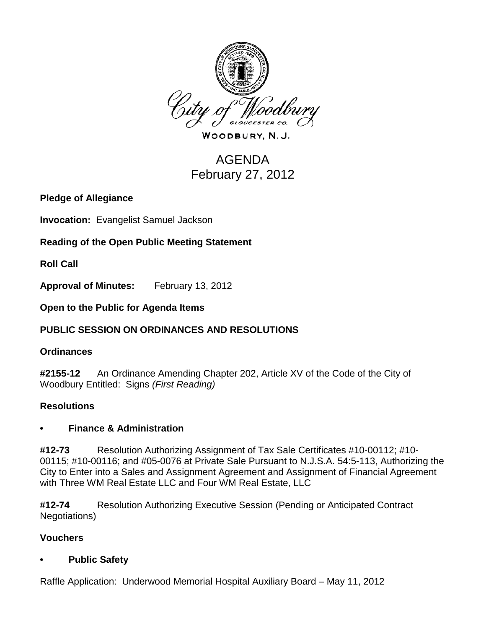

WOODBURY, N.J.

# AGENDA February 27, 2012

**Pledge of Allegiance**

**Invocation:** Evangelist Samuel Jackson

**Reading of the Open Public Meeting Statement**

**Roll Call**

**Approval of Minutes:** February 13, 2012

**Open to the Public for Agenda Items**

## **PUBLIC SESSION ON ORDINANCES AND RESOLUTIONS**

### **Ordinances**

**#2155-12** An Ordinance Amending Chapter 202, Article XV of the Code of the City of Woodbury Entitled: Signs *(First Reading)*

### **Resolutions**

### **• Finance & Administration**

**#12-73** Resolution Authorizing Assignment of Tax Sale Certificates #10-00112; #10- 00115; #10-00116; and #05-0076 at Private Sale Pursuant to N.J.S.A. 54:5-113, Authorizing the City to Enter into a Sales and Assignment Agreement and Assignment of Financial Agreement with Three WM Real Estate LLC and Four WM Real Estate, LLC

**#12-74** Resolution Authorizing Executive Session (Pending or Anticipated Contract Negotiations)

### **Vouchers**

### **• Public Safety**

Raffle Application: Underwood Memorial Hospital Auxiliary Board – May 11, 2012